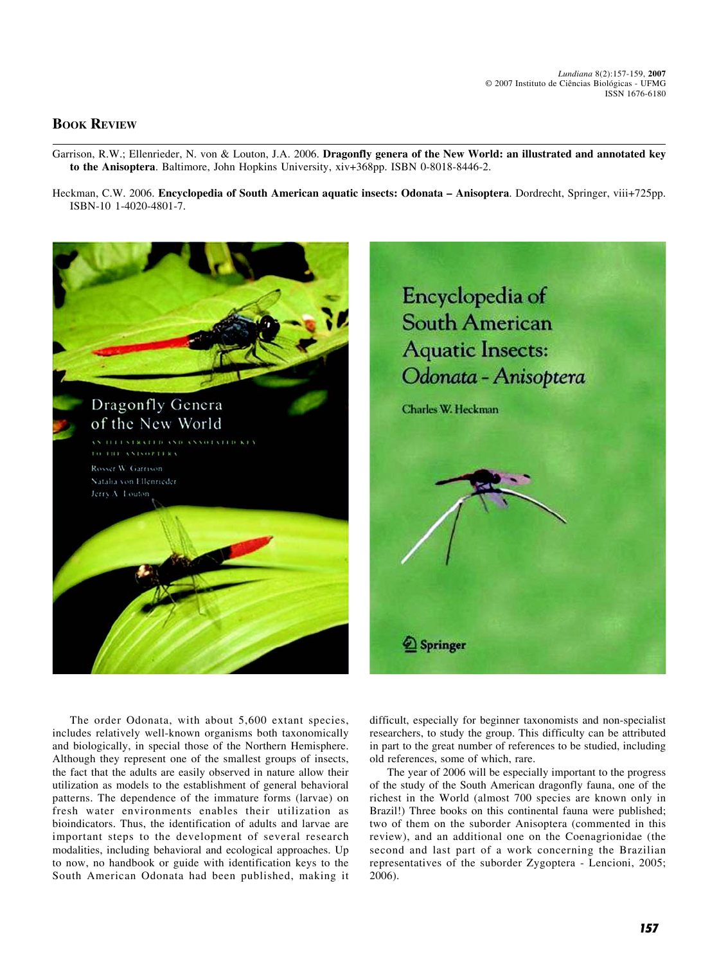## **BOOK REVIEW**

- Garrison, R.W.; Ellenrieder, N. von & Louton, J.A. 2006. **Dragonfly genera of the New World: an illustrated and annotated key to the Anisoptera**. Baltimore, John Hopkins University, xiv+368pp. ISBN 0-8018-8446-2.
- Heckman, C.W. 2006. **Encyclopedia of South American aquatic insects: Odonata Anisoptera**. Dordrecht, Springer, viii+725pp. ISBN-10 1-4020-4801-7.



The order Odonata, with about 5,600 extant species, includes relatively well-known organisms both taxonomically and biologically, in special those of the Northern Hemisphere. Although they represent one of the smallest groups of insects, the fact that the adults are easily observed in nature allow their utilization as models to the establishment of general behavioral patterns. The dependence of the immature forms (larvae) on fresh water environments enables their utilization as bioindicators. Thus, the identification of adults and larvae are important steps to the development of several research modalities, including behavioral and ecological approaches. Up to now, no handbook or guide with identification keys to the South American Odonata had been published, making it

difficult, especially for beginner taxonomists and non-specialist researchers, to study the group. This difficulty can be attributed in part to the great number of references to be studied, including old references, some of which, rare.

The year of 2006 will be especially important to the progress of the study of the South American dragonfly fauna, one of the richest in the World (almost 700 species are known only in Brazil!) Three books on this continental fauna were published; two of them on the suborder Anisoptera (commented in this review), and an additional one on the Coenagrionidae (the second and last part of a work concerning the Brazilian representatives of the suborder Zygoptera - Lencioni, 2005; 2006).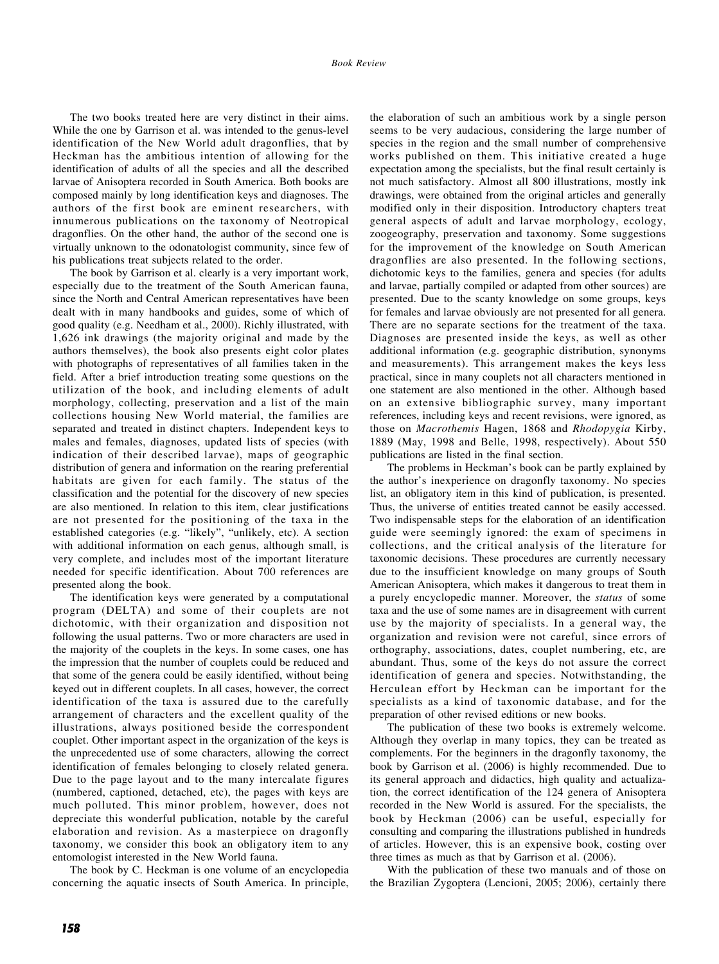The two books treated here are very distinct in their aims. While the one by Garrison et al. was intended to the genus-level identification of the New World adult dragonflies, that by Heckman has the ambitious intention of allowing for the identification of adults of all the species and all the described larvae of Anisoptera recorded in South America. Both books are composed mainly by long identification keys and diagnoses. The authors of the first book are eminent researchers, with innumerous publications on the taxonomy of Neotropical dragonflies. On the other hand, the author of the second one is virtually unknown to the odonatologist community, since few of his publications treat subjects related to the order.

The book by Garrison et al. clearly is a very important work, especially due to the treatment of the South American fauna, since the North and Central American representatives have been dealt with in many handbooks and guides, some of which of good quality (e.g. Needham et al., 2000). Richly illustrated, with 1,626 ink drawings (the majority original and made by the authors themselves), the book also presents eight color plates with photographs of representatives of all families taken in the field. After a brief introduction treating some questions on the utilization of the book, and including elements of adult morphology, collecting, preservation and a list of the main collections housing New World material, the families are separated and treated in distinct chapters. Independent keys to males and females, diagnoses, updated lists of species (with indication of their described larvae), maps of geographic distribution of genera and information on the rearing preferential habitats are given for each family. The status of the classification and the potential for the discovery of new species are also mentioned. In relation to this item, clear justifications are not presented for the positioning of the taxa in the established categories (e.g. "likely", "unlikely, etc). A section with additional information on each genus, although small, is very complete, and includes most of the important literature needed for specific identification. About 700 references are presented along the book.

The identification keys were generated by a computational program (DELTA) and some of their couplets are not dichotomic, with their organization and disposition not following the usual patterns. Two or more characters are used in the majority of the couplets in the keys. In some cases, one has the impression that the number of couplets could be reduced and that some of the genera could be easily identified, without being keyed out in different couplets. In all cases, however, the correct identification of the taxa is assured due to the carefully arrangement of characters and the excellent quality of the illustrations, always positioned beside the correspondent couplet. Other important aspect in the organization of the keys is the unprecedented use of some characters, allowing the correct identification of females belonging to closely related genera. Due to the page layout and to the many intercalate figures (numbered, captioned, detached, etc), the pages with keys are much polluted. This minor problem, however, does not depreciate this wonderful publication, notable by the careful elaboration and revision. As a masterpiece on dragonfly taxonomy, we consider this book an obligatory item to any entomologist interested in the New World fauna.

The book by C. Heckman is one volume of an encyclopedia concerning the aquatic insects of South America. In principle, the elaboration of such an ambitious work by a single person seems to be very audacious, considering the large number of species in the region and the small number of comprehensive works published on them. This initiative created a huge expectation among the specialists, but the final result certainly is not much satisfactory. Almost all 800 illustrations, mostly ink drawings, were obtained from the original articles and generally modified only in their disposition. Introductory chapters treat general aspects of adult and larvae morphology, ecology, zoogeography, preservation and taxonomy. Some suggestions for the improvement of the knowledge on South American dragonflies are also presented. In the following sections, dichotomic keys to the families, genera and species (for adults and larvae, partially compiled or adapted from other sources) are presented. Due to the scanty knowledge on some groups, keys for females and larvae obviously are not presented for all genera. There are no separate sections for the treatment of the taxa. Diagnoses are presented inside the keys, as well as other additional information (e.g. geographic distribution, synonyms and measurements). This arrangement makes the keys less practical, since in many couplets not all characters mentioned in one statement are also mentioned in the other. Although based on an extensive bibliographic survey, many important references, including keys and recent revisions, were ignored, as those on *Macrothemis* Hagen, 1868 and *Rhodopygia* Kirby, 1889 (May, 1998 and Belle, 1998, respectively). About 550 publications are listed in the final section.

The problems in Heckman's book can be partly explained by the author's inexperience on dragonfly taxonomy. No species list, an obligatory item in this kind of publication, is presented. Thus, the universe of entities treated cannot be easily accessed. Two indispensable steps for the elaboration of an identification guide were seemingly ignored: the exam of specimens in collections, and the critical analysis of the literature for taxonomic decisions. These procedures are currently necessary due to the insufficient knowledge on many groups of South American Anisoptera, which makes it dangerous to treat them in a purely encyclopedic manner. Moreover, the *status* of some taxa and the use of some names are in disagreement with current use by the majority of specialists. In a general way, the organization and revision were not careful, since errors of orthography, associations, dates, couplet numbering, etc, are abundant. Thus, some of the keys do not assure the correct identification of genera and species. Notwithstanding, the Herculean effort by Heckman can be important for the specialists as a kind of taxonomic database, and for the preparation of other revised editions or new books.

The publication of these two books is extremely welcome. Although they overlap in many topics, they can be treated as complements. For the beginners in the dragonfly taxonomy, the book by Garrison et al. (2006) is highly recommended. Due to its general approach and didactics, high quality and actualization, the correct identification of the 124 genera of Anisoptera recorded in the New World is assured. For the specialists, the book by Heckman (2006) can be useful, especially for consulting and comparing the illustrations published in hundreds of articles. However, this is an expensive book, costing over three times as much as that by Garrison et al. (2006).

With the publication of these two manuals and of those on the Brazilian Zygoptera (Lencioni, 2005; 2006), certainly there